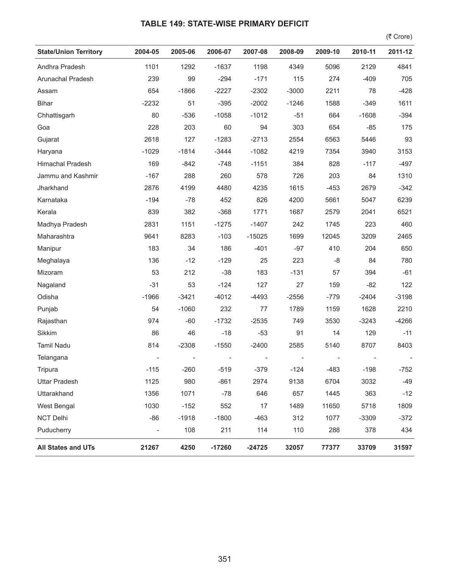## **TABLE 149: STATE-WISE PRIMARY DEFICIT**

 $($ ₹ Crore)

| <b>State/Union Territory</b> | 2004-05        | 2005-06 | 2006-07  | 2007-08  | 2008-09 | 2009-10 | 2010-11 | 2011-12 |
|------------------------------|----------------|---------|----------|----------|---------|---------|---------|---------|
| Andhra Pradesh               | 1101           | 1292    | $-1637$  | 1198     | 4349    | 5096    | 2129    | 4841    |
| Arunachal Pradesh            | 239            | 99      | $-294$   | $-171$   | 115     | 274     | $-409$  | 705     |
| Assam                        | 654            | $-1866$ | $-2227$  | $-2302$  | $-3000$ | 2211    | 78      | $-428$  |
| <b>Bihar</b>                 | $-2232$        | 51      | $-395$   | $-2002$  | $-1246$ | 1588    | $-349$  | 1611    |
| Chhattisgarh                 | 80             | $-536$  | $-1058$  | $-1012$  | $-51$   | 664     | $-1608$ | $-394$  |
| Goa                          | 228            | 203     | 60       | 94       | 303     | 654     | $-85$   | 175     |
| Gujarat                      | 2618           | 127     | $-1283$  | $-2713$  | 2554    | 6563    | 5446    | 93      |
| Haryana                      | $-1029$        | $-1814$ | $-3444$  | $-1082$  | 4219    | 7354    | 3940    | 3153    |
| Himachal Pradesh             | 169            | $-842$  | $-748$   | $-1151$  | 384     | 828     | $-117$  | $-497$  |
| Jammu and Kashmir            | $-167$         | 288     | 260      | 578      | 726     | 203     | 84      | 1310    |
| Jharkhand                    | 2876           | 4199    | 4480     | 4235     | 1615    | $-453$  | 2679    | $-342$  |
| Karnataka                    | $-194$         | $-78$   | 452      | 826      | 4200    | 5661    | 5047    | 6239    |
| Kerala                       | 839            | 382     | $-368$   | 1771     | 1687    | 2579    | 2041    | 6521    |
| Madhya Pradesh               | 2831           | 1151    | $-1275$  | $-1407$  | 242     | 1745    | 223     | 460     |
| Maharashtra                  | 9641           | 8283    | $-103$   | $-15025$ | 1699    | 12045   | 3209    | 2465    |
| Manipur                      | 183            | 34      | 186      | $-401$   | $-97$   | 410     | 204     | 650     |
| Meghalaya                    | 136            | $-12$   | $-129$   | 25       | 223     | -8      | 84      | 780     |
| Mizoram                      | 53             | 212     | $-38$    | 183      | $-131$  | 57      | 394     | $-61$   |
| Nagaland                     | $-31$          | 53      | $-124$   | 127      | 27      | 159     | $-82$   | 122     |
| Odisha                       | $-1966$        | $-3421$ | $-4012$  | $-4493$  | $-2556$ | $-779$  | $-2404$ | $-3198$ |
| Punjab                       | 54             | $-1060$ | 232      | 77       | 1789    | 1159    | 1628    | 2210    |
| Rajasthan                    | 974            | $-60$   | $-1732$  | $-2535$  | 749     | 3530    | $-3243$ | $-4266$ |
| Sikkim                       | 86             | 46      | $-18$    | $-53$    | 91      | 14      | 129     | $-11$   |
| Tamil Nadu                   | 814            | $-2308$ | $-1550$  | $-2400$  | 2585    | 5140    | 8707    | 8403    |
| Telangana                    |                |         |          |          |         |         |         |         |
| Tripura                      | $-115$         | $-260$  | $-519$   | $-379$   | $-124$  | $-483$  | $-198$  | $-752$  |
| <b>Uttar Pradesh</b>         | 1125           | 980     | $-861$   | 2974     | 9138    | 6704    | 3032    | $-49$   |
| Uttarakhand                  | 1356           | 1071    | $-78$    | 646      | 657     | 1445    | 363     | $-12$   |
| <b>West Bengal</b>           | 1030           | $-152$  | 552      | 17       | 1489    | 11650   | 5718    | 1809    |
| <b>NCT Delhi</b>             | $-86$          | $-1918$ | $-1800$  | $-463$   | 312     | 1077    | $-3309$ | $-372$  |
| Puducherry                   | $\blacksquare$ | 108     | 211      | 114      | 110     | 288     | 378     | 434     |
| <b>All States and UTs</b>    | 21267          | 4250    | $-17260$ | $-24725$ | 32057   | 77377   | 33709   | 31597   |